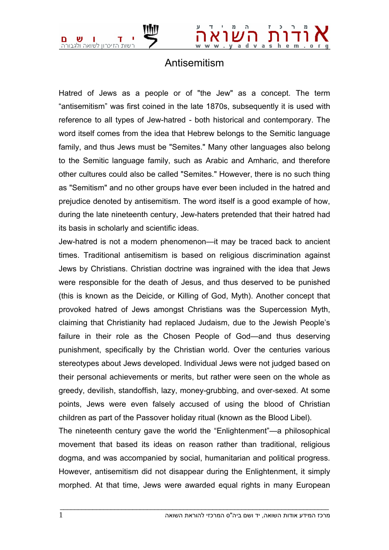

## Antisemitism

Hatred of Jews as a people or of "the Jew" as a concept. The term "antisemitism" was first coined in the late 1870s, subsequently it is used with reference to all types of Jew-hatred - both historical and contemporary. The word itself comes from the idea that Hebrew belongs to the Semitic language family, and thus Jews must be "Semites." Many other languages also belong to the Semitic language family, such as Arabic and Amharic, and therefore other cultures could also be called "Semites." However, there is no such thing as "Semitism" and no other groups have ever been included in the hatred and prejudice denoted by antisemitism. The word itself is a good example of how, during the late nineteenth century, Jew-haters pretended that their hatred had its basis in scholarly and scientific ideas.

Jew-hatred is not a modern phenomenon—it may be traced back to ancient times. Traditional antisemitism is based on religious discrimination against Jews by Christians. Christian doctrine was ingrained with the idea that Jews were responsible for the death of Jesus, and thus deserved to be punished (this is known as the Deicide, or Killing of God, Myth). Another concept that provoked hatred of Jews amongst Christians was the Supercession Myth, claiming that Christianity had replaced Judaism, due to the Jewish People's failure in their role as the Chosen People of God—and thus deserving punishment, specifically by the Christian world. Over the centuries various stereotypes about Jews developed. Individual Jews were not judged based on their personal achievements or merits, but rather were seen on the whole as greedy, devilish, standoffish, lazy, money-grubbing, and over-sexed. At some points, Jews were even falsely accused of using the blood of Christian children as part of the Passover holiday ritual (known as the Blood Libel).

The nineteenth century gave the world the "Enlightenment"—a philosophical movement that based its ideas on reason rather than traditional, religious dogma, and was accompanied by social, humanitarian and political progress. However, antisemitism did not disappear during the Enlightenment, it simply morphed. At that time, Jews were awarded equal rights in many European

 $\bot$  , and the set of the set of the set of the set of the set of the set of the set of the set of the set of the set of the set of the set of the set of the set of the set of the set of the set of the set of the set of t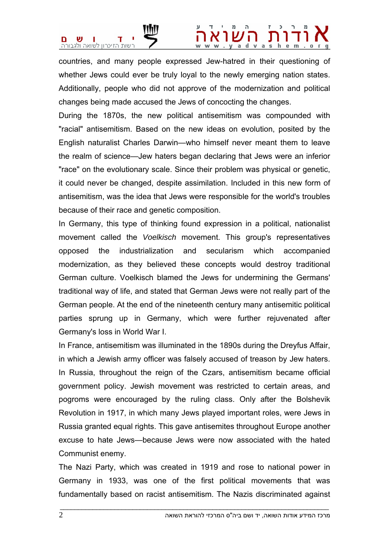

## . y a d v a s h e m . o r q

countries, and many people expressed Jew-hatred in their questioning of whether Jews could ever be truly loyal to the newly emerging nation states. Additionally, people who did not approve of the modernization and political changes being made accused the Jews of concocting the changes.

During the 1870s, the new political antisemitism was compounded with "racial" antisemitism. Based on the new ideas on evolution, posited by the English naturalist Charles Darwin—who himself never meant them to leave the realm of science—Jew haters began declaring that Jews were an inferior "race" on the evolutionary scale. Since their problem was physical or genetic, it could never be changed, despite assimilation. Included in this new form of antisemitism, was the idea that Jews were responsible for the world's troubles because of their race and genetic composition.

In Germany, this type of thinking found expression in a political, nationalist movement called the *Voelkisch* movement. This group's representatives opposed the industrialization and secularism which accompanied modernization, as they believed these concepts would destroy traditional German culture. Voelkisch blamed the Jews for undermining the Germans' traditional way of life, and stated that German Jews were not really part of the German people. At the end of the nineteenth century many antisemitic political parties sprung up in Germany, which were further rejuvenated after Germany's loss in World War I.

In France, antisemitism was illuminated in the 1890s during the Dreyfus Affair, in which a Jewish army officer was falsely accused of treason by Jew haters. In Russia, throughout the reign of the Czars, antisemitism became official government policy. Jewish movement was restricted to certain areas, and pogroms were encouraged by the ruling class. Only after the Bolshevik Revolution in 1917, in which many Jews played important roles, were Jews in Russia granted equal rights. This gave antisemites throughout Europe another excuse to hate Jews—because Jews were now associated with the hated Communist enemy.

The Nazi Party, which was created in 1919 and rose to national power in Germany in 1933, was one of the first political movements that was fundamentally based on racist antisemitism. The Nazis discriminated against

 $\bot$  , and the set of the set of the set of the set of the set of the set of the set of the set of the set of the set of the set of the set of the set of the set of the set of the set of the set of the set of the set of t